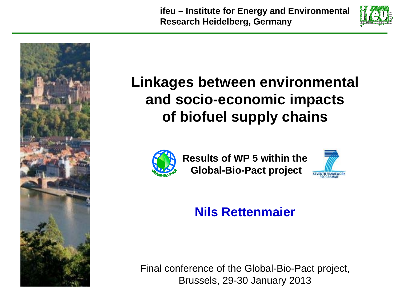**ifeu – Institute for Energy and Environmental Research Heidelberg, Germany** 





## **Linkages between environmental and socio-economic impacts of biofuel supply chains**



**Results of WP 5 within theGlobal-Bio-Pact project**



#### **Nils Rettenmaier**

Final conference of the Global-Bio-Pact project, Brussels, 29-30 January 2013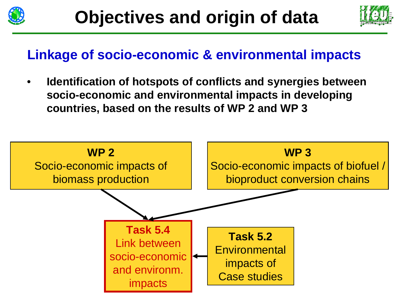



#### **Linkage of socio-economic & environmental impacts**

• **Identification of hotspots of conflicts and synergies between socio-economic and environmental impacts in developing countries, based on the results of WP 2 and WP 3**

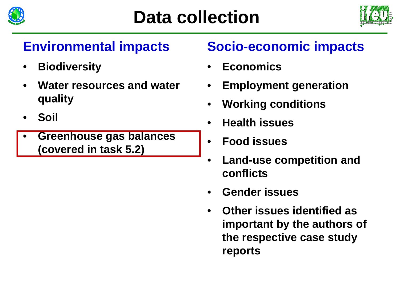



## **Environmental impacts**

- •**Biodiversity**
- • **Water resources and water quality**
- •**Soil**
- • **Greenhouse gas balances (covered in task 5.2)**

## **Socio-economic impacts**

- •**Economics**
- •**Employment generation**
- •**Working conditions**
- •**Health issues**
- •**Food issues**
- • **Land-use competition and conflicts**
- •**Gender issues**
- • **Other issues identified as important by the authors of the respective case study reports**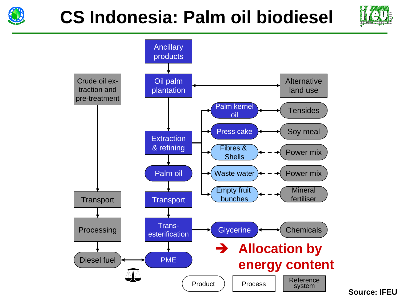





**Source: IFEU**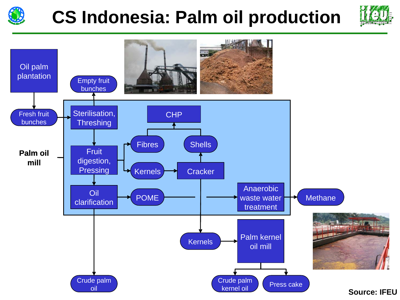

# **CS Indonesia: Palm oil production**



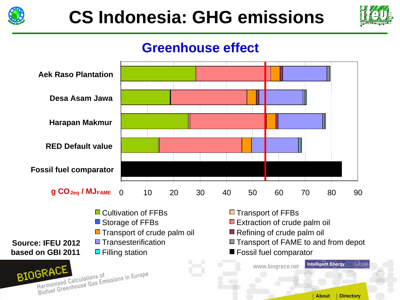



#### **Greenhouse effect**



 $\Box$  Filling station  $\Box$  Fossil fuel comparator



**based on GBI 2011**

**About Directory** 

Europi

**Intelligent Energy** 

www.biograce.net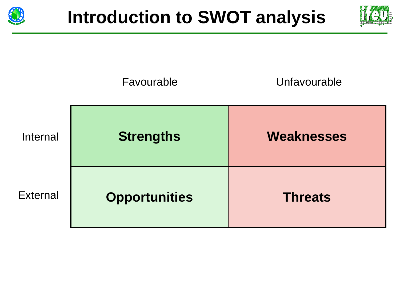



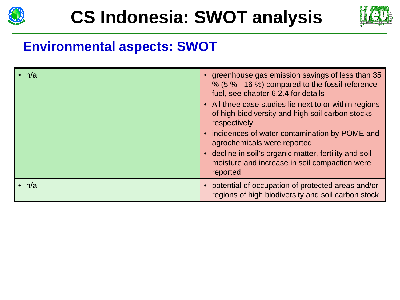



### **Environmental aspects: SWOT**

| $\cdot$ n/a | • greenhouse gas emission savings of less than 35<br>% (5 % - 16 %) compared to the fossil reference<br>fuel, see chapter 6.2.4 for details<br>• All three case studies lie next to or within regions<br>of high biodiversity and high soil carbon stocks<br>respectively<br>• incidences of water contamination by POME and<br>agrochemicals were reported<br>• decline in soil's organic matter, fertility and soil<br>moisture and increase in soil compaction were<br>reported |
|-------------|------------------------------------------------------------------------------------------------------------------------------------------------------------------------------------------------------------------------------------------------------------------------------------------------------------------------------------------------------------------------------------------------------------------------------------------------------------------------------------|
| $\cdot$ n/a | • potential of occupation of protected areas and/or<br>regions of high biodiversity and soil carbon stock                                                                                                                                                                                                                                                                                                                                                                          |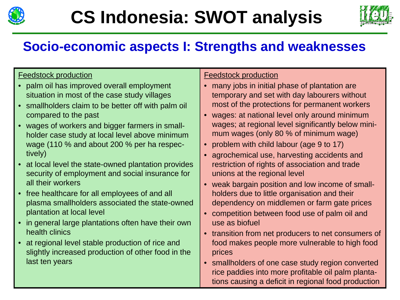



## **Socio-economic aspects I: Strengths and weaknesses**

#### Feedstock production

- palm oil has improved overall employment situation in most of the case study villages
- smallholders claim to be better off with palm oil compared to the past
- wages of workers and bigger farmers in smallholder case study at local level above minimum wage (110 % and about 200 % per ha respectively)
- at local level the state-owned plantation provides security of employment and social insurance for all their workers
- free healthcare for all employees of and all plasma smallholders associated the state-owned plantation at local level
- in general large plantations often have their own health clinics
- at regional level stable production of rice and slightly increased production of other food in the last ten years

#### Feedstock production

- many jobs in initial phase of plantation are temporary and set with day labourers without most of the protections for permanent workers
- wages: at national level only around minimum wages; at regional level significantly below minimum wages (only 80 % of minimum wage)
- problem with child labour (age 9 to 17)
- agrochemical use, harvesting accidents and restriction of rights of association and trade unions at the regional level
- weak bargain position and low income of smallholders due to little organisation and their dependency on middlemen or farm gate prices
- competition between food use of palm oil and use as biofuel
- transition from net producers to net consumers of food makes people more vulnerable to high food prices
- smallholders of one case study region converted rice paddies into more profitable oil palm plantations causing a deficit in regional food production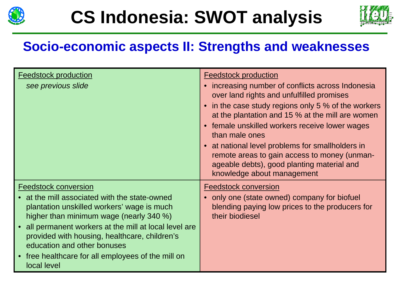



### **Socio-economic aspects II: Strengths and weaknesses**

| <b>Feedstock production</b>                                                                                                                                                                                                                                                                                                                                                    | <b>Feedstock production</b>                                                                                                                                                                                                                                                                                                                                                                                                                                          |
|--------------------------------------------------------------------------------------------------------------------------------------------------------------------------------------------------------------------------------------------------------------------------------------------------------------------------------------------------------------------------------|----------------------------------------------------------------------------------------------------------------------------------------------------------------------------------------------------------------------------------------------------------------------------------------------------------------------------------------------------------------------------------------------------------------------------------------------------------------------|
| see previous slide                                                                                                                                                                                                                                                                                                                                                             | increasing number of conflicts across Indonesia<br>$\bullet$<br>over land rights and unfulfilled promises<br>in the case study regions only 5 % of the workers<br>at the plantation and 15 % at the mill are women<br>female unskilled workers receive lower wages<br>than male ones<br>• at national level problems for smallholders in<br>remote areas to gain access to money (unman-<br>ageable debts), good planting material and<br>knowledge about management |
| <b>Feedstock conversion</b><br>at the mill associated with the state-owned<br>plantation unskilled workers' wage is much<br>higher than minimum wage (nearly 340 %)<br>all permanent workers at the mill at local level are<br>provided with housing, healthcare, children's<br>education and other bonuses<br>free healthcare for all employees of the mill on<br>local level | <b>Feedstock conversion</b><br>only one (state owned) company for biofuel<br>blending paying low prices to the producers for<br>their biodiesel                                                                                                                                                                                                                                                                                                                      |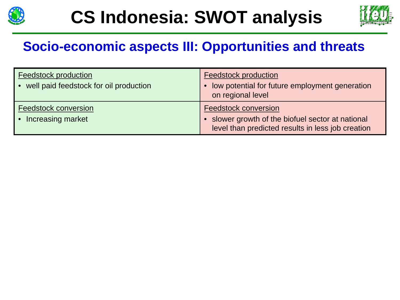



### **Socio-economic aspects III: Opportunities and threats**

| <b>Feedstock production</b><br>well paid feedstock for oil production | <b>Feedstock production</b><br>low potential for future employment generation<br>on regional level                                    |
|-----------------------------------------------------------------------|---------------------------------------------------------------------------------------------------------------------------------------|
| Feedstock conversion<br>Increasing market                             | <b>Feedstock conversion</b><br>• slower growth of the biofuel sector at national<br>level than predicted results in less job creation |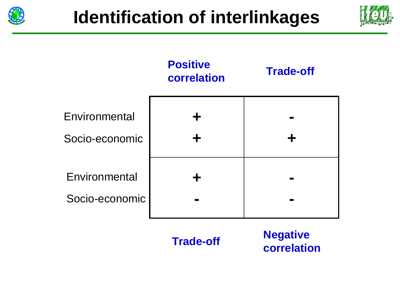





**Trade-off**

**Negative correlation**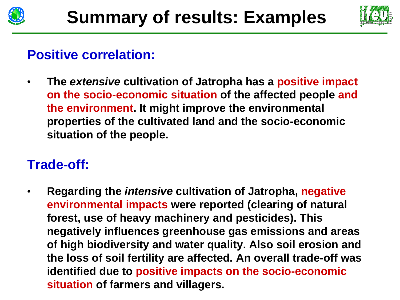



#### **Positive correlation:**

• **The** *extensive* **cultivation of Jatropha has a positive impact on the socio-economic situation of the affected people and the environment. It might improve the environmental properties of the cultivated land and the socio-economic situation of the people.**

#### **Trade-off:**

• **Regarding the** *intensive* **cultivation of Jatropha, negative environmental impacts were reported (clearing of natural forest, use of heavy machinery and pesticides). This negatively influences greenhouse gas emissions and areas of high biodiversity and water quality. Also soil erosion and the loss of soil fertility are affected. An overall trade-off was identified due to positive impacts on the socio-economic situation of farmers and villagers.**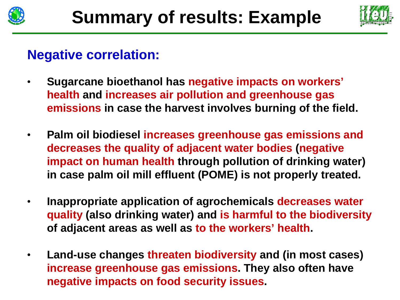



#### **Negative correlation:**

- • **Sugarcane bioethanol has negative impacts on workers' health and increases air pollution and greenhouse gas emissions in case the harvest involves burning of the field.**
- $\bullet$  **Palm oil biodiesel increases greenhouse gas emissions and decreases the quality of adjacent water bodies (negative impact on human health through pollution of drinking water) in case palm oil mill effluent (POME) is not properly treated.**
- • **Inappropriate application of agrochemicals decreases water quality (also drinking water) and is harmful to the biodiversity of adjacent areas as well as to the workers' health.**
- $\bullet$  **Land-use changes threaten biodiversity and (in most cases) increase greenhouse gas emissions. They also often have negative impacts on food security issues.**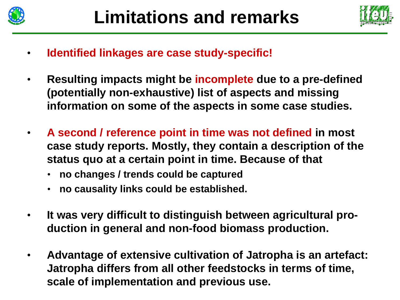



- •**Identified linkages are case study-specific!**
- • **Resulting impacts might be incomplete due to a pre-defined (potentially non-exhaustive) list of aspects and missing information on some of the aspects in some case studies.**
- • **A second / reference point in time was not defined in most case study reports. Mostly, they contain a description of the status quo at a certain point in time. Because of that**
	- **no changes / trends could be captured**
	- **no causality links could be established.**
- • **It was very difficult to distinguish between agricultural production in general and non-food biomass production.**
- $\bullet$  **Advantage of extensive cultivation of Jatropha is an artefact: Jatropha differs from all other feedstocks in terms of time, scale of implementation and previous use.**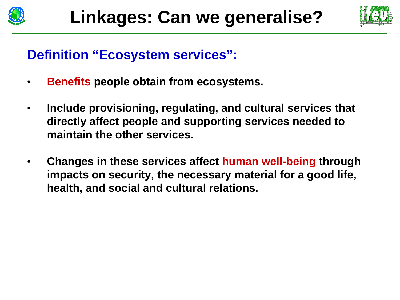



#### **Definition "Ecosystem services":**

- •**Benefits people obtain from ecosystems.**
- • **Include provisioning, regulating, and cultural services that directly affect people and supporting services needed to maintain the other services.**
- • **Changes in these services affect human well-being through impacts on security, the necessary material for a good life, health, and social and cultural relations.**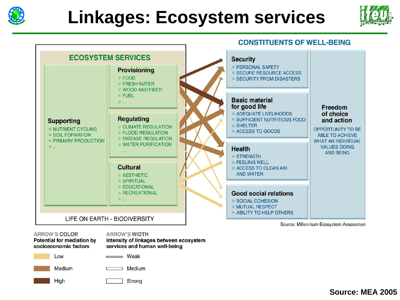





Source: Millennium Ecosystem Assessmen

**ARROW'S COLOR Potential for mediation by** socioeconomic factors

#### **ARROW'S WIDTH**

Intensity of linkages between ecosystem services and human well-being

Low

 $=$  Weak

Medium

High

Medium

Strong

**Source: MEA 2005**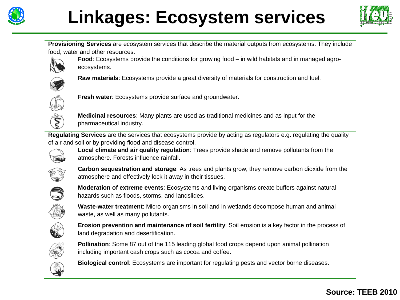

# **Linkages: Ecosystem services**



**Provisioning Services** are ecosystem services that describe the material outputs from ecosystems. They include food, water and other resources.



**Food**: Ecosystems provide the conditions for growing food – in wild habitats and in managed agroecosystems.



**Raw materials**: Ecosystems provide a great diversity of materials for construction and fuel.



**Fresh water**: Ecosystems provide surface and groundwater.



**Medicinal resources**: Many plants are used as traditional medicines and as input for the pharmaceutical industry.

**Regulating Services** are the services that ecosystems provide by acting as regulators e.g. regulating the quality of air and soil or by providing flood and disease control.



**Local climate and air quality regulation**: Trees provide shade and remove pollutants from the atmosphere. Forests influence rainfall.



**Carbon sequestration and storage**: As trees and plants grow, they remove carbon dioxide from the atmosphere and effectively lock it away in their tissues.



**Moderation of extreme events**: Ecosystems and living organisms create buffers against natural hazards such as floods, storms, and landslides.



**Waste-water treatment**: Micro-organisms in soil and in wetlands decompose human and animal waste, as well as many pollutants.



**Erosion prevention and maintenance of soil fertility**: Soil erosion is a key factor in the process of land degradation and desertification.



**Pollination**: Some 87 out of the 115 leading global food crops depend upon animal pollination including important cash crops such as cocoa and coffee.



**Biological control**: Ecosystems are important for regulating pests and vector borne diseases.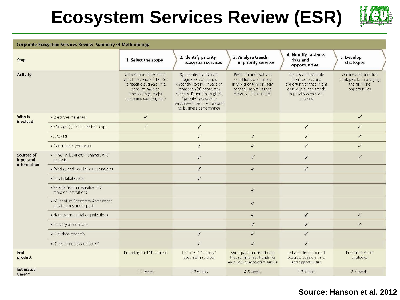## **Ecosystem Services Review (ESR)**



#### **Corporate Ecosystem Services Review: Summary of Methodology**

| <b>Step</b>                            |                                                               | 1. Select the scope                                                                                                                                      | 2. Identify priority<br>ecosystem services                                                                                                                                                                             | 3. Analyze trends<br>in priority services                                                                                          | 4. Identify business<br>risks and<br>opportunities                                                                                      | 5. Develop<br>strategies                                                            |
|----------------------------------------|---------------------------------------------------------------|----------------------------------------------------------------------------------------------------------------------------------------------------------|------------------------------------------------------------------------------------------------------------------------------------------------------------------------------------------------------------------------|------------------------------------------------------------------------------------------------------------------------------------|-----------------------------------------------------------------------------------------------------------------------------------------|-------------------------------------------------------------------------------------|
| <b>Activity</b>                        |                                                               | Choose boundary within<br>which to conduct the ESR<br>(a specific business unit,<br>product, market,<br>landholdings, major<br>customer, supplier, etc.) | Systematically evaluate<br>degree of company's<br>dependence and impact on<br>more than 20 ecosystem<br>services. Determine highest<br>"priority" ecosystem<br>services-those most relevant<br>to business performance | Research and evaluate<br>conditions and trends<br>in the priority ecosystem<br>services, as well as the<br>drivers of these trends | Identify and evaluate<br>business risks and<br>opportunities that might<br>arise due to the trends<br>in priority ecosystem<br>services | Outline and prioritize<br>strategies for managing<br>the risks and<br>opportunities |
| Who is<br>involved                     | • Executive managers                                          | $\checkmark$                                                                                                                                             |                                                                                                                                                                                                                        |                                                                                                                                    |                                                                                                                                         | $\checkmark$                                                                        |
|                                        | • Manager(s) from selected scope                              | $\checkmark$                                                                                                                                             | $\checkmark$                                                                                                                                                                                                           |                                                                                                                                    | $\checkmark$                                                                                                                            | $\checkmark$                                                                        |
|                                        | • Analysts                                                    |                                                                                                                                                          | $\checkmark$                                                                                                                                                                                                           | $\checkmark$                                                                                                                       | $\checkmark$                                                                                                                            | $\checkmark$                                                                        |
|                                        | • Consultants (optional)                                      |                                                                                                                                                          | $\checkmark$                                                                                                                                                                                                           | $\checkmark$                                                                                                                       | $\checkmark$                                                                                                                            | $\checkmark$                                                                        |
| Sources of<br>input and<br>information | • In-house business managers and<br>analysts                  |                                                                                                                                                          | $\checkmark$                                                                                                                                                                                                           | $\checkmark$                                                                                                                       | $\checkmark$                                                                                                                            | ✓                                                                                   |
|                                        | • Existing and new in-house analyses                          |                                                                                                                                                          | $\checkmark$                                                                                                                                                                                                           | $\checkmark$                                                                                                                       | $\checkmark$                                                                                                                            |                                                                                     |
|                                        | · Local stakeholders                                          |                                                                                                                                                          | $\checkmark$                                                                                                                                                                                                           |                                                                                                                                    |                                                                                                                                         |                                                                                     |
|                                        | • Experts from universities and<br>research institutions      |                                                                                                                                                          |                                                                                                                                                                                                                        | $\checkmark$                                                                                                                       |                                                                                                                                         |                                                                                     |
|                                        | • Millennium Ecosystem Assessment<br>publications and experts |                                                                                                                                                          |                                                                                                                                                                                                                        | $\checkmark$                                                                                                                       |                                                                                                                                         |                                                                                     |
|                                        | • Nongovernmental organizations                               |                                                                                                                                                          |                                                                                                                                                                                                                        | $\checkmark$                                                                                                                       | $\checkmark$                                                                                                                            | $\checkmark$                                                                        |
|                                        | · Industry associations                                       |                                                                                                                                                          |                                                                                                                                                                                                                        | $\checkmark$                                                                                                                       | $\checkmark$                                                                                                                            | ✓                                                                                   |
|                                        | · Published research                                          |                                                                                                                                                          | $\checkmark$                                                                                                                                                                                                           | $\checkmark$                                                                                                                       | $\checkmark$                                                                                                                            |                                                                                     |
|                                        | • Other resources and tools*                                  |                                                                                                                                                          | $\checkmark$                                                                                                                                                                                                           | $\checkmark$                                                                                                                       | $\checkmark$                                                                                                                            |                                                                                     |
| End<br>product                         |                                                               | Boundary for ESR analysis                                                                                                                                | List of 5-7 "priority"<br>ecosystem services                                                                                                                                                                           | Short paper or set of data<br>that summarizes trends for<br>each priority ecosystem service                                        | List and description of<br>possible business risks<br>and opportunities                                                                 | Prioritized set of<br>strategies                                                    |
| <b>Estimated</b><br>time**             |                                                               | 1-2 weeks                                                                                                                                                | 2-3 weeks                                                                                                                                                                                                              | 4-6 weeks                                                                                                                          | 1-2 weeks                                                                                                                               | 2-3 weeks                                                                           |

#### **Source: Hanson et al. 2012**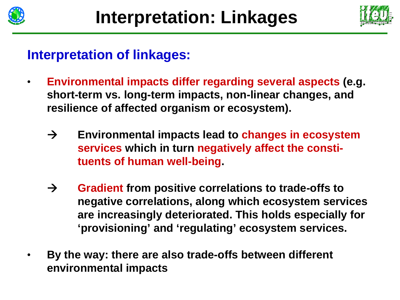



#### **Interpretation of linkages:**

- • **Environmental impacts differ regarding several aspects (e.g. short-term vs. long-term impacts, non-linear changes, and resilience of affected organism or ecosystem).**
	- $\rightarrow$  **Environmental impacts lead to changes in ecosystem services which in turn negatively affect the constituents of human well-being.**
	- $\rightarrow$  **Gradient from positive correlations to trade-offs to negative correlations, along which ecosystem services are increasingly deteriorated. This holds especially for 'provisioning' and 'regulating' ecosystem services.**
- • **By the way: there are also trade-offs between different environmental impacts**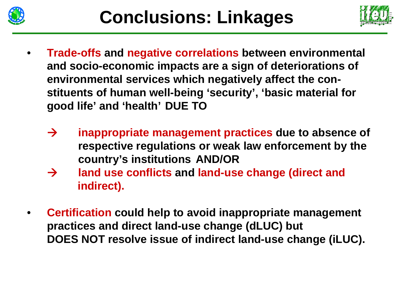



- • **Trade-offs and negative correlations between environmental and socio-economic impacts are a sign of deteriorations of environmental services which negatively affect the constituents of human well-being 'security', 'basic material for good life' and 'health' DUE TO**
	- $\rightarrow$  **inappropriate management practices due to absence of respective regulations or weak law enforcement by the country's institutions AND/OR**
	- $\rightarrow$  **land use conflicts and land-use change (direct and indirect).**
- • **Certification could help to avoid inappropriate management practices and direct land-use change (dLUC) but DOES NOT resolve issue of indirect land-use change (iLUC).**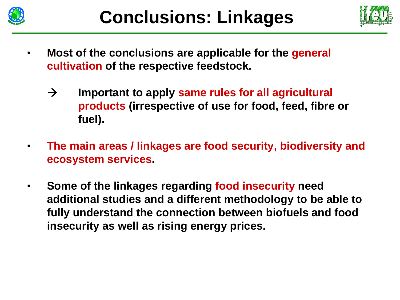



- • **Most of the conclusions are applicable for the general cultivation of the respective feedstock.**
	- $\rightarrow$  **Important to apply same rules for all agricultural products (irrespective of use for food, feed, fibre or fuel).**
- • **The main areas / linkages are food security, biodiversity and ecosystem services.**
- • **Some of the linkages regarding food insecurity need additional studies and a different methodology to be able to fully understand the connection between biofuels and food insecurity as well as rising energy prices.**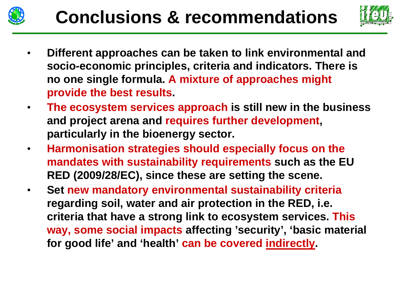



- • **Different approaches can be taken to link environmental and socio-economic principles, criteria and indicators. There is no one single formula. A mixture of approaches might provide the best results.**
- $\bullet$  **The ecosystem services approach is still new in the business and project arena and requires further development, particularly in the bioenergy sector.**
- $\bullet$  **Harmonisation strategies should especially focus on the mandates with sustainability requirements such as the EU RED (2009/28/EC), since these are setting the scene.**
- • **Set new mandatory environmental sustainability criteria regarding soil, water and air protection in the RED, i.e. criteria that have a strong link to ecosystem services. This way, some social impacts affecting 'security', 'basic material for good life' and 'health' can be covered indirectly.**